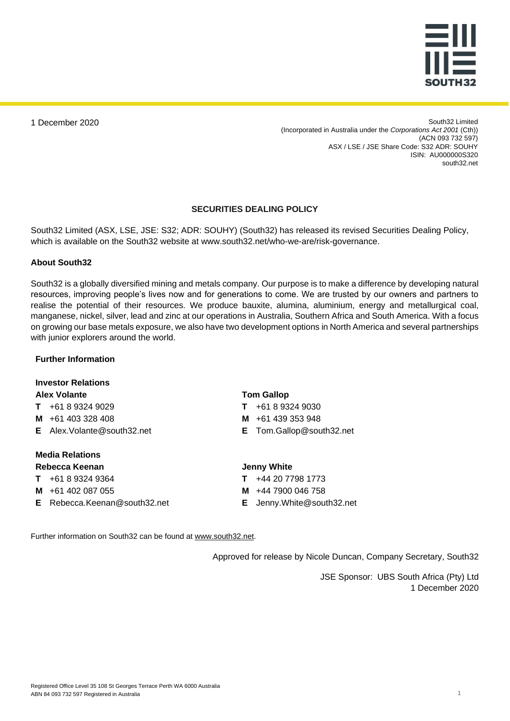

1 December 2020

South32 Limited (Incorporated in Australia under the *Corporations Act 2001* (Cth)) (ACN 093 732 597) ASX / LSE / JSE Share Code: S32 ADR: SOUHY ISIN: AU000000S320 south32.net

#### **SECURITIES DEALING POLICY**

South32 Limited (ASX, LSE, JSE: S32; ADR: SOUHY) (South32) has released its revised Securities Dealing Policy, which is available on the South32 website at www.south32.net/who-we-are/risk-governance.

#### **About South32**

South32 is a globally diversified mining and metals company. Our purpose is to make a difference by developing natural resources, improving people's lives now and for generations to come. We are trusted by our owners and partners to realise the potential of their resources. We produce bauxite, alumina, aluminium, energy and metallurgical coal, manganese, nickel, silver, lead and zinc at our operations in Australia, Southern Africa and South America. With a focus on growing our base metals exposure, we also have two development options in North America and several partnerships with junior explorers around the world.

#### **Further Information**

#### **Investor Relations Alex Volante**

- **T** +61 8 9324 9029
- **M** +61 403 328 408
- **E** Alex.Volante@south32.net

#### **Media Relations Rebecca Keenan**

# **T** +61 8 9324 9364

- **M** +61 402 087 055
- 
- **E** Rebecca.Keenan@south32.net

#### **Tom Gallop**

- **T** +61 8 9324 9030
- **M** +61 439 353 948
- **E** Tom.Gallop@south32.net

#### **Jenny White**

- **T** +44 20 7798 1773
- **M** +44 7900 046 758
- **E** Jenny.White@south32.net

Further information on South32 can be found at [www.south32.net.](http://www.south32.net/)

Approved for release by Nicole Duncan, Company Secretary, South32

JSE Sponsor: UBS South Africa (Pty) Ltd 1 December 2020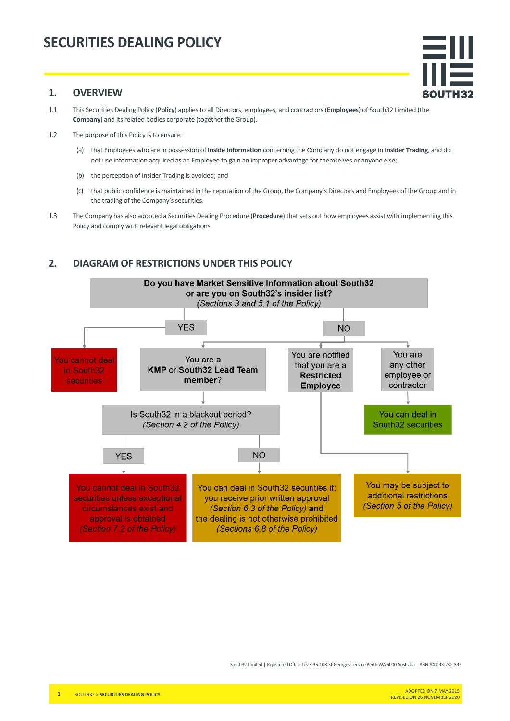

- 1.1 This Securities Dealing Policy (**Policy**) applies to all Directors, employees, and contractors (**Employees**) of South32 Limited (the **Company**) and its related bodies corporate (together the Group).
- 1.2 The purpose of this Policy is to ensure:
	- (a) that Employees who are in possession of **Inside Information** concerning the Company do not engage in **Insider Trading**, and do not use information acquired as an Employee to gain an improper advantage for themselves or anyone else;
	- (b) the perception of Insider Trading is avoided; and
	- (c) that public confidence is maintained in the reputation of the Group, the Company's Directors and Employees of the Group and in the trading of the Company's securities.
- 1.3 The Company has also adopted a Securities Dealing Procedure (**Procedure**) that sets out how employees assist with implementing this Policy and comply with relevant legal obligations.

### **2. DIAGRAM OF RESTRICTIONS UNDER THIS POLICY**



South32 Limited | Registered Office Level 35 108 St Georges Terrace Perth WA 6000 Australia | ABN 84 093 732 597

SOUTH32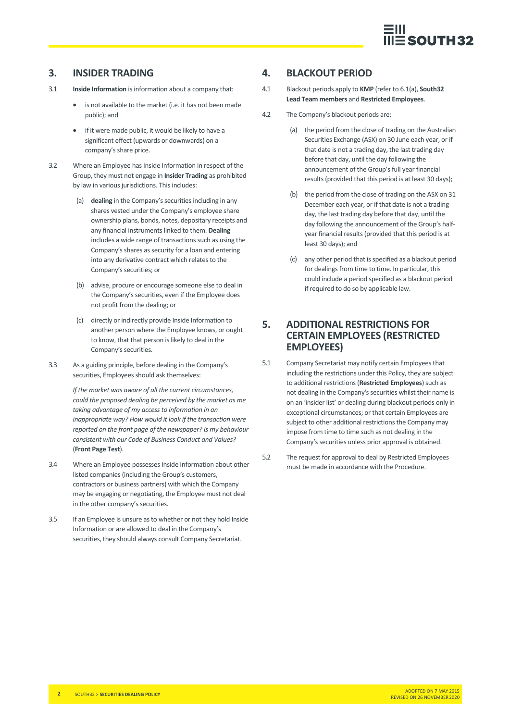

### **3. INSIDER TRADING**

- 3.1 **Inside Information** is information about a company that:
	- is not available to the market (i.e. it has not been made public); and
	- if it were made public, it would be likely to have a significant effect (upwards or downwards) on a company's share price.
- 3.2 Where an Employee has Inside Information in respect of the Group, they must not engage in **Insider Trading** as prohibited by law in various jurisdictions. This includes:
	- (a) **dealing** in the Company's securities including in any shares vested under the Company's employee share ownership plans, bonds, notes, depositary receipts and any financial instruments linked to them. **Dealing** includes a wide range of transactions such as using the Company's shares as security for a loan and entering into any derivative contract which relates to the Company's securities; or
	- (b) advise, procure or encourage someone else to deal in the Company's securities, even if the Employee does not profit from the dealing; or
	- (c) directly or indirectly provide Inside Information to another person where the Employee knows, or ought to know, that that person is likely to deal in the Company's securities.
- 3.3 As a guiding principle, before dealing in the Company's securities, Employees should ask themselves:

*If the market was aware of all the current circumstances, could the proposed dealing be perceived by the market as me taking advantage of my access to information in an inappropriate way? How would it look if the transaction were reported on the front page of the newspaper? Is my behaviour consistent with our Code of Business Conduct and Values?*  (**Front Page Test**).

- 3.4 Where an Employee possesses Inside Information about other listed companies (including the Group's customers, contractors or business partners) with which the Company may be engaging or negotiating, the Employee must not deal in the other company's securities.
- 3.5 If an Employee is unsure as to whether or not they hold Inside Information or are allowed to deal in the Company's securities, they should always consult Company Secretariat.

## **4. BLACKOUT PERIOD**

- 4.1 Blackout periods apply to **KMP** (refer to 6.1(a), **South32 Lead Team members** and **Restricted Employees**.
- 4.2 The Company's blackout periods are:
	- (a) the period from the close of trading on the Australian Securities Exchange (ASX) on 30 June each year, or if that date is not a trading day, the last trading day before that day, until the day following the announcement of the Group's full year financial results (provided that this period is at least 30 days);
	- (b) the period from the close of trading on the ASX on 31 December each year, or if that date is not a trading day, the last trading day before that day, until the day following the announcement of the Group's halfyear financial results (provided that this period is at least 30 days); and
	- (c) any other period that is specified as a blackout period for dealings from time to time. In particular, this could include a period specified as a blackout period if required to do so by applicable law.

# **5. ADDITIONAL RESTRICTIONS FOR CERTAIN EMPLOYEES (RESTRICTED EMPLOYEES)**

- 5.1 Company Secretariat may notify certain Employees that including the restrictions under this Policy, they are subject to additional restrictions (**Restricted Employees**) such as not dealing in the Company's securities whilst their name is on an 'insider list' or dealing during blackout periods only in exceptional circumstances; or that certain Employees are subject to other additional restrictions the Company may impose from time to time such as not dealing in the Company's securities unless prior approval is obtained.
- 5.2 The request for approval to deal by Restricted Employees must be made in accordance with the Procedure.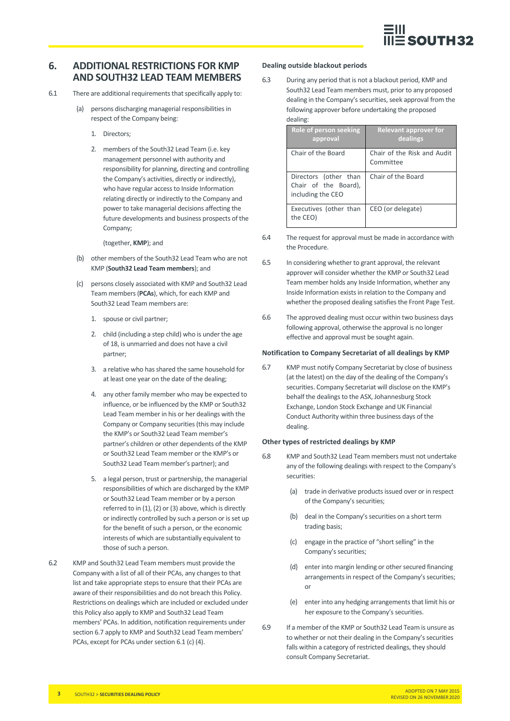

### **6. ADDITIONAL RESTRICTIONS FOR KMP AND SOUTH32 LEAD TEAM MEMBERS**

- 6.1 There are additional requirements that specifically apply to:
	- (a) persons discharging managerial responsibilities in respect of the Company being:
		- 1. Directors;
		- 2. members of the South32 Lead Team (i.e. key management personnel with authority and responsibility for planning, directing and controlling the Company's activities, directly or indirectly), who have regular access to Inside Information relating directly or indirectly to the Company and power to take managerial decisions affecting the future developments and business prospects of the Company;

(together, **KMP**); and

- (b) other members of the South32 Lead Team who are not KMP (**South32 Lead Team members**); and
- (c) persons closely associated with KMP and South32 Lead Team members (**PCAs**), which, for each KMP and South32 Lead Team members are:
	- 1. spouse or civil partner;
	- 2. child (including a step child) who is under the age of 18, is unmarried and does not have a civil partner;
	- 3. a relative who has shared the same household for at least one year on the date of the dealing;
	- 4. any other family member who may be expected to influence, or be influenced by the KMP or South32 Lead Team member in his or her dealings with the Company or Company securities (this may include the KMP's or South32 Lead Team member's partner's children or other dependents of the KMP or South32 Lead Team member or the KMP's or South32 Lead Team member's partner); and
	- 5. a legal person, trust or partnership, the managerial responsibilities of which are discharged by the KMP or South32 Lead Team member or by a person referred to in (1), (2) or (3) above, which is directly or indirectly controlled by such a person or is set up for the benefit of such a person, or the economic interests of which are substantially equivalent to those of such a person.
- 6.2 KMP and South32 Lead Team members must provide the Company with a list of all of their PCAs, any changes to that list and take appropriate steps to ensure that their PCAs are aware of their responsibilities and do not breach this Policy. Restrictions on dealings which are included or excluded under this Policy also apply to KMP and South32 Lead Team members' PCAs. In addition, notification requirements under section 6.7 apply to KMP and South32 Lead Team members' PCAs, except for PCAs under section 6.1 (c) (4).

#### **Dealing outside blackout periods**

6.3 During any period that is not a blackout period, KMP and South32 Lead Team members must, prior to any proposed dealing in the Company's securities, seek approval from the following approver before undertaking the proposed dealing:

| <b>Role of person seeking</b><br>approval                          | <b>Relevant approver for</b><br>dealings |
|--------------------------------------------------------------------|------------------------------------------|
| Chair of the Board                                                 | Chair of the Risk and Audit<br>Committee |
| Directors (other than<br>Chair of the Board),<br>including the CEO | Chair of the Board                       |
| Executives (other than<br>the CEO)                                 | CEO (or delegate)                        |

- 6.4 The request for approval must be made in accordance with the Procedure.
- 6.5 In considering whether to grant approval, the relevant approver will consider whether the KMP or South32 Lead Team member holds any Inside Information, whether any Inside Information exists in relation to the Company and whether the proposed dealing satisfies the Front Page Test.
- 6.6 The approved dealing must occur within two business days following approval, otherwise the approval is no longer effective and approval must be sought again.

#### **Notification to Company Secretariat of all dealings by KMP**

6.7 KMP must notify Company Secretariat by close of business (at the latest) on the day of the dealing of the Company's securities. Company Secretariat will disclose on the KMP's behalf the dealings to the ASX, Johannesburg Stock Exchange, London Stock Exchange and UK Financial Conduct Authority within three business days of the dealing.

#### **Other types of restricted dealings by KMP**

- 6.8 KMP and South32 Lead Team members must not undertake any of the following dealings with respect to the Company's securities:
	- (a) trade in derivative products issued over or in respect of the Company's securities;
	- (b) deal in the Company's securities on a short term trading basis;
	- (c) engage in the practice of "short selling" in the Company's securities;
	- (d) enter into margin lending or other secured financing arrangements in respect of the Company's securities; or
	- (e) enter into any hedging arrangements that limit his or her exposure to the Company's securities.
- 6.9 If a member of the KMP or South32 Lead Team is unsure as to whether or not their dealing in the Company's securities falls within a category of restricted dealings, they should consult Company Secretariat.